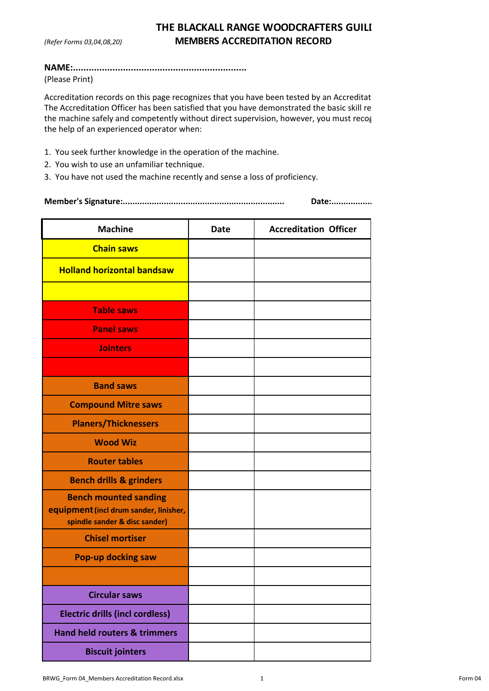## **THE BLACKALL RANGE WOODCRAFTERS GUILI** *(Refer Forms 03,04,08,20)* **MEMBERS ACCREDITATION RECORD**

## **NAME:..................................................................** (Please Print)

Accreditation records on this page recognizes that you have been tested by an Accreditat The Accreditation Officer has been satisfied that you have demonstrated the basic skill re the machine safely and competently without direct supervision, however, you must recog the help of an experienced operator when:

- 1. You seek further knowledge in the operation of the machine.
- 2. You wish to use an unfamiliar technique.
- 3. You have not used the machine recently and sense a loss of proficiency.

## **Member's Signature:................................................................... Date:..................................................**

| <b>Machine</b>                                                                                          | <b>Date</b> | <b>Accreditation Officer</b> |
|---------------------------------------------------------------------------------------------------------|-------------|------------------------------|
| <b>Chain saws</b>                                                                                       |             |                              |
| <b>Holland horizontal bandsaw</b>                                                                       |             |                              |
|                                                                                                         |             |                              |
| <b>Table saws</b>                                                                                       |             |                              |
| <b>Panel saws</b>                                                                                       |             |                              |
| <b>Jointers</b>                                                                                         |             |                              |
|                                                                                                         |             |                              |
| <b>Band saws</b>                                                                                        |             |                              |
| <b>Compound Mitre saws</b>                                                                              |             |                              |
| <b>Planers/Thicknessers</b>                                                                             |             |                              |
| <b>Wood Wiz</b>                                                                                         |             |                              |
| <b>Router tables</b>                                                                                    |             |                              |
| <b>Bench drills &amp; grinders</b>                                                                      |             |                              |
| <b>Bench mounted sanding</b><br>equipment (incl drum sander, linisher,<br>spindle sander & disc sander) |             |                              |
| <b>Chisel mortiser</b>                                                                                  |             |                              |
| <b>Pop-up docking saw</b>                                                                               |             |                              |
|                                                                                                         |             |                              |
| <b>Circular saws</b>                                                                                    |             |                              |
| <b>Electric drills (incl cordless)</b>                                                                  |             |                              |
| <b>Hand held routers &amp; trimmers</b>                                                                 |             |                              |
| <b>Biscuit jointers</b>                                                                                 |             |                              |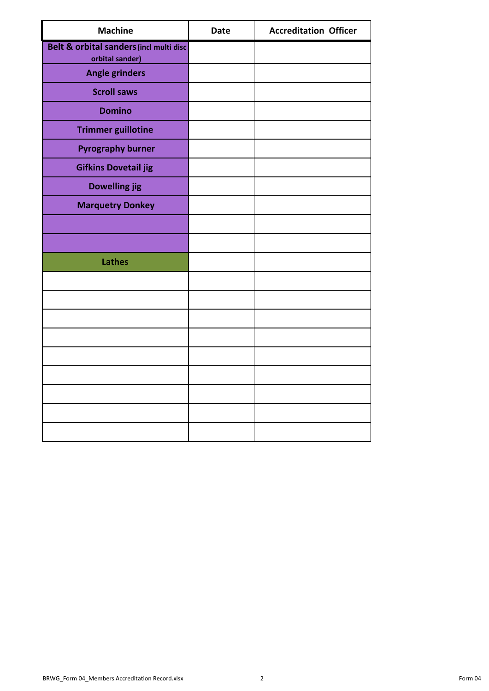| <b>Machine</b>                                             | <b>Date</b> | <b>Accreditation Officer</b> |
|------------------------------------------------------------|-------------|------------------------------|
| Belt & orbital sanders (incl multi disc<br>orbital sander) |             |                              |
| <b>Angle grinders</b>                                      |             |                              |
| <b>Scroll saws</b>                                         |             |                              |
| <b>Domino</b>                                              |             |                              |
| <b>Trimmer guillotine</b>                                  |             |                              |
| <b>Pyrography burner</b>                                   |             |                              |
| <b>Gifkins Dovetail jig</b>                                |             |                              |
| <b>Dowelling jig</b>                                       |             |                              |
| <b>Marquetry Donkey</b>                                    |             |                              |
|                                                            |             |                              |
|                                                            |             |                              |
| <b>Lathes</b>                                              |             |                              |
|                                                            |             |                              |
|                                                            |             |                              |
|                                                            |             |                              |
|                                                            |             |                              |
|                                                            |             |                              |
|                                                            |             |                              |
|                                                            |             |                              |
|                                                            |             |                              |
|                                                            |             |                              |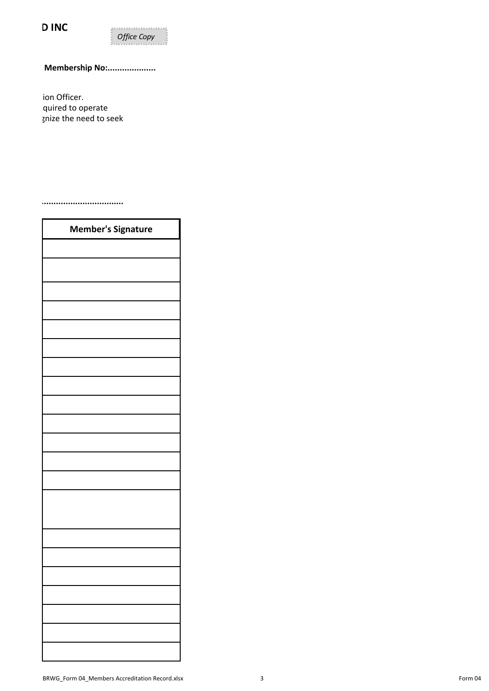**DINC** 



## **Membership No:....................**

ion Officer. quired to operate gnize the need to seek

**Member's Signature:................................................................... Date:..................................................**

| <b>Member's Signature</b> |  |  |
|---------------------------|--|--|
|                           |  |  |
|                           |  |  |
|                           |  |  |
|                           |  |  |
|                           |  |  |
|                           |  |  |
|                           |  |  |
|                           |  |  |
|                           |  |  |
|                           |  |  |
|                           |  |  |
|                           |  |  |
|                           |  |  |
|                           |  |  |
|                           |  |  |
|                           |  |  |
|                           |  |  |
|                           |  |  |
|                           |  |  |
|                           |  |  |
|                           |  |  |
|                           |  |  |